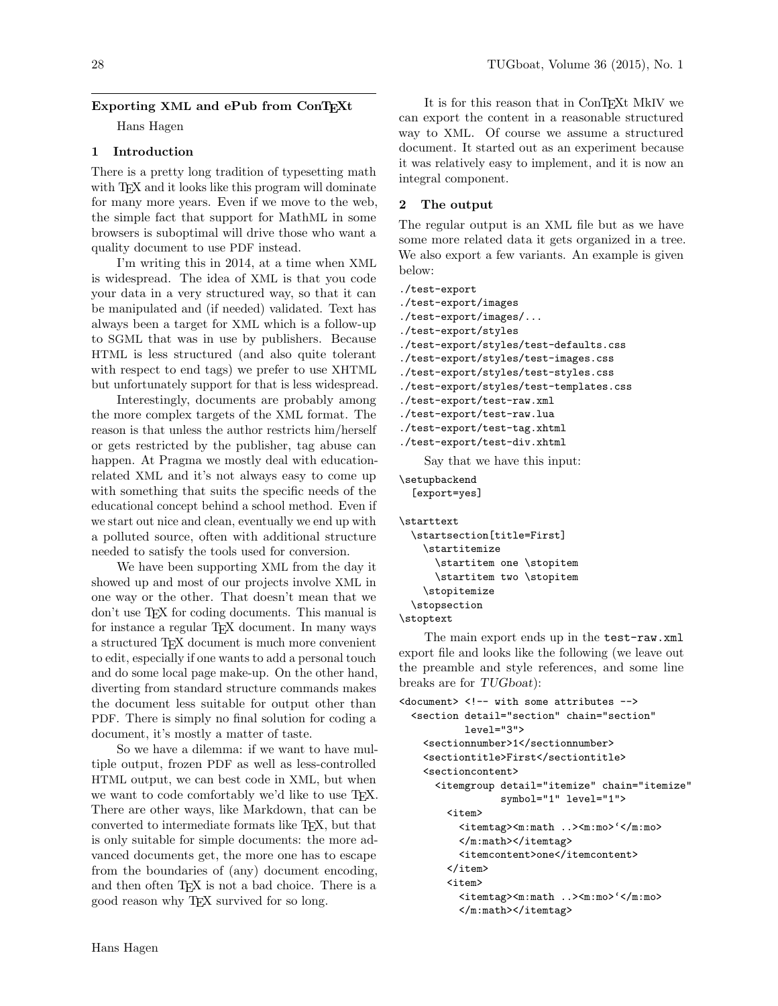## Exporting XML and ePub from ConTEXt

Hans Hagen

#### 1 Introduction

There is a pretty long tradition of typesetting math with T<sub>EX</sub> and it looks like this program will dominate for many more years. Even if we move to the web, the simple fact that support for MathML in some browsers is suboptimal will drive those who want a quality document to use PDF instead.

I'm writing this in 2014, at a time when XML is widespread. The idea of XML is that you code your data in a very structured way, so that it can be manipulated and (if needed) validated. Text has always been a target for XML which is a follow-up to SGML that was in use by publishers. Because HTML is less structured (and also quite tolerant with respect to end tags) we prefer to use XHTML but unfortunately support for that is less widespread.

Interestingly, documents are probably among the more complex targets of the XML format. The reason is that unless the author restricts him/herself or gets restricted by the publisher, tag abuse can happen. At Pragma we mostly deal with educationrelated XML and it's not always easy to come up with something that suits the specific needs of the educational concept behind a school method. Even if we start out nice and clean, eventually we end up with a polluted source, often with additional structure needed to satisfy the tools used for conversion.

We have been supporting XML from the day it showed up and most of our projects involve XML in one way or the other. That doesn't mean that we don't use TEX for coding documents. This manual is for instance a regular TEX document. In many ways a structured TEX document is much more convenient to edit, especially if one wants to add a personal touch and do some local page make-up. On the other hand, diverting from standard structure commands makes the document less suitable for output other than PDF. There is simply no final solution for coding a document, it's mostly a matter of taste.

So we have a dilemma: if we want to have multiple output, frozen PDF as well as less-controlled HTML output, we can best code in XML, but when we want to code comfortably we'd like to use TFX. There are other ways, like Markdown, that can be converted to intermediate formats like TEX, but that is only suitable for simple documents: the more advanced documents get, the more one has to escape from the boundaries of (any) document encoding, and then often TEX is not a bad choice. There is a good reason why TEX survived for so long.

It is for this reason that in ConTEXt MkIV we can export the content in a reasonable structured way to XML. Of course we assume a structured document. It started out as an experiment because it was relatively easy to implement, and it is now an integral component.

#### 2 The output

The regular output is an XML file but as we have some more related data it gets organized in a tree. We also export a few variants. An example is given below:

```
./test-export
```

```
./test-export/images
./test-export/images/...
./test-export/styles
```
- ./test-export/styles/test-defaults.css
- ./test-export/styles/test-images.css
- ./test-export/styles/test-styles.css
- ./test-export/styles/test-templates.css
- ./test-export/test-raw.xml
- ./test-export/test-raw.lua
- ./test-export/test-tag.xhtml

```
./test-export/test-div.xhtml
```
Say that we have this input:

\setupbackend [export=yes]

```
\starttext
 \startsection[title=First]
   \startitemize
      \startitem one \stopitem
     \startitem two \stopitem
   \stopitemize
  \stopsection
```

```
\stoptext
```
The main export ends up in the test-raw.xml export file and looks like the following (we leave out the preamble and style references, and some line breaks are for TUGboat):

```
\langle document> \langle !-- with some attributes -->
  <section detail="section" chain="section"
           level="3">
    <sectionnumber>1</sectionnumber>
    <sectiontitle>First</sectiontitle>
    <sectioncontent>
      <itemgroup detail="itemize" chain="itemize"
                  symbol="1" level="1">
        <item>
          <itemtag><m:math ..><m:mo>'</m:mo>
          </m:math></itemtag>
          <itemcontent>one</itemcontent>
        </item>
        <item>
          <itemtag><m:math ..><m:mo>'</m:mo>
          </m:math></itemtag>
```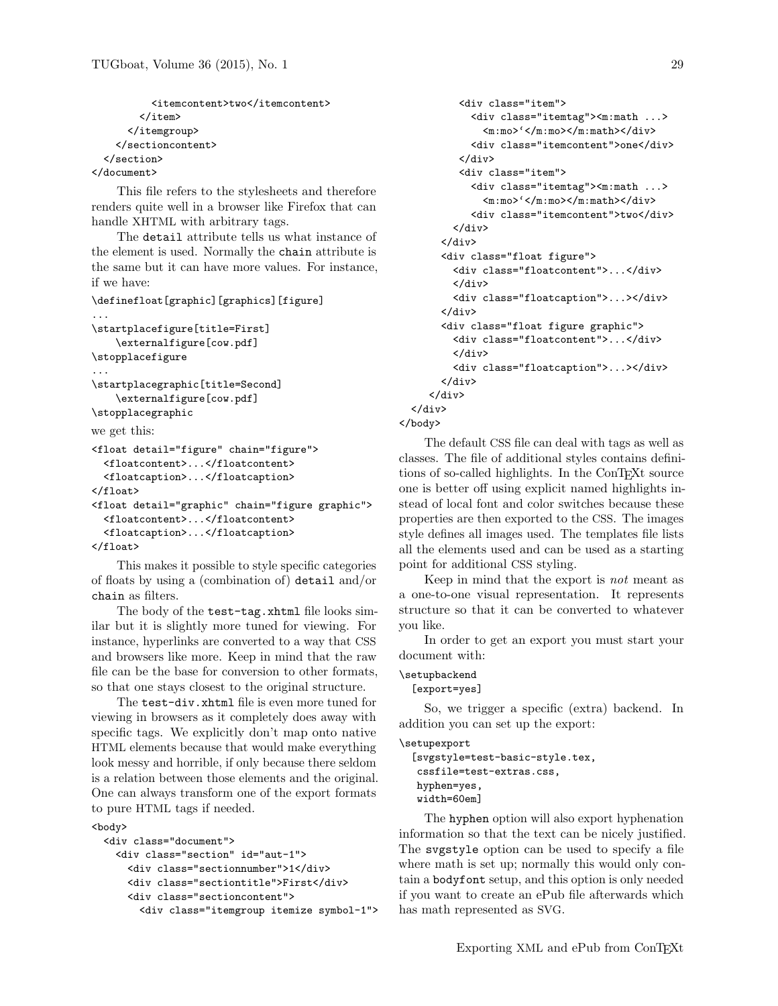```
<itemcontent>two</itemcontent>
        </item>
      </itemgroup>
    </sectioncontent>
  </section>
</document>
```
This file refers to the stylesheets and therefore renders quite well in a browser like Firefox that can handle XHTML with arbitrary tags.

The detail attribute tells us what instance of the element is used. Normally the chain attribute is the same but it can have more values. For instance, if we have:

```
\definefloat[graphic][graphics][figure]
```

```
...
\startplacefigure[title=First]
    \externalfigure[cow.pdf]
\stopplacefigure
...
\startplacegraphic[title=Second]
   \externalfigure[cow.pdf]
\stopplacegraphic
we get this:
<float detail="figure" chain="figure">
  <floatcontent>...</floatcontent>
  <floatcaption>...</floatcaption>
</float>
<float detail="graphic" chain="figure graphic">
  <floatcontent>...</floatcontent>
  <floatcaption>...</floatcaption>
</float>
```
This makes it possible to style specific categories of floats by using a (combination of) detail and/or chain as filters.

The body of the test-tag.xhtml file looks similar but it is slightly more tuned for viewing. For instance, hyperlinks are converted to a way that CSS and browsers like more. Keep in mind that the raw file can be the base for conversion to other formats, so that one stays closest to the original structure.

The test-div.xhtml file is even more tuned for viewing in browsers as it completely does away with specific tags. We explicitly don't map onto native HTML elements because that would make everything look messy and horrible, if only because there seldom is a relation between those elements and the original. One can always transform one of the export formats to pure HTML tags if needed.

#### <body>

```
<div class="document">
 <div class="section" id="aut-1">
    <div class="sectionnumber">1</div>
    <div class="sectiontitle">First</div>
    <div class="sectioncontent">
      <div class="itemgroup itemize symbol-1">
```

```
<div class="item">
             <div class="itemtag"><m:math ...>
                \langle m:mo>'\langle m:mo>\langle m:math>\langle div \rangle<div class="itemcontent">one</div>
           </div>
           <div class="item">
             <div class="itemtag"><m:math ...>
                \langle m:mo>'\langle /m:mo>\langle /m:math>\langle /div \rangle<div class="itemcontent">two</div>
          </div>
       </div>
       <div class="float figure">
          <div class="floatcontent">...</div>
          </div>
          <div class="floatcaption">...></div>
       </div>
       <div class="float figure graphic">
          <div class="floatcontent">...</div>
          </div>
          <div class="floatcaption">...></div>
       </div>
     </div>
  </div>
</body>
```
The default CSS file can deal with tags as well as classes. The file of additional styles contains definitions of so-called highlights. In the ConTEXt source one is better off using explicit named highlights instead of local font and color switches because these properties are then exported to the CSS. The images style defines all images used. The templates file lists all the elements used and can be used as a starting point for additional CSS styling.

Keep in mind that the export is not meant as a one-to-one visual representation. It represents structure so that it can be converted to whatever you like.

In order to get an export you must start your document with:

### \setupbackend

#### [export=yes]

So, we trigger a specific (extra) backend. In addition you can set up the export:

```
\setupexport
```

```
[svgstyle=test-basic-style.tex,
 cssfile=test-extras.css,
hyphen=yes,
width=60em]
```
The hyphen option will also export hyphenation information so that the text can be nicely justified. The svgstyle option can be used to specify a file where math is set up; normally this would only contain a bodyfont setup, and this option is only needed if you want to create an ePub file afterwards which has math represented as SVG.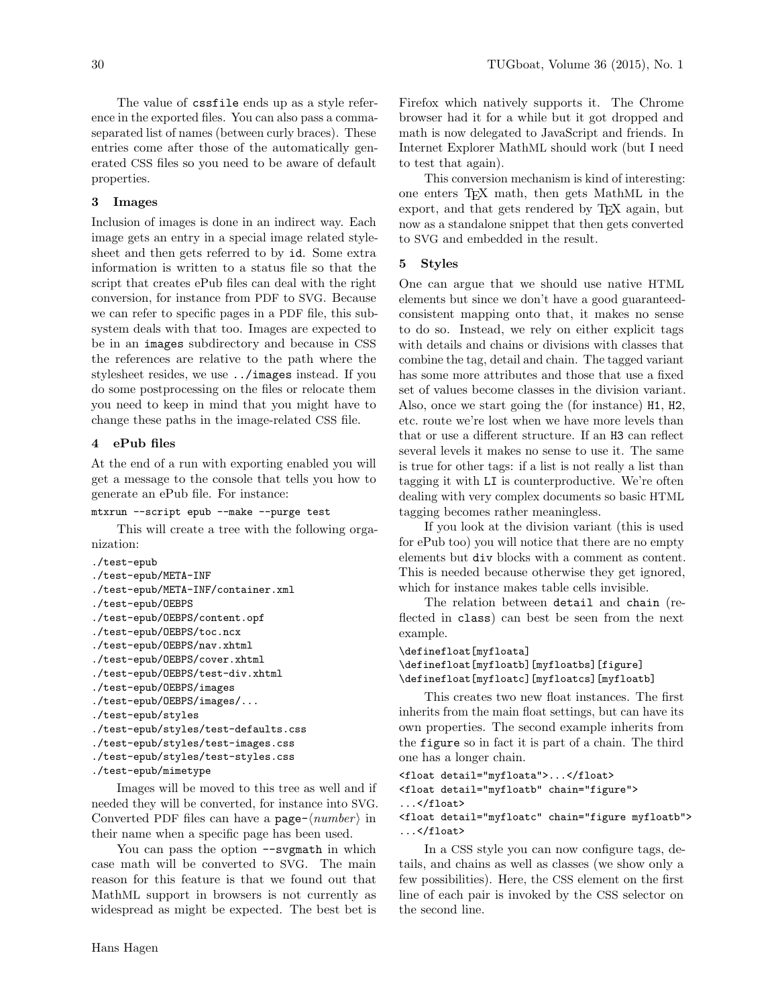The value of cssfile ends up as a style reference in the exported files. You can also pass a commaseparated list of names (between curly braces). These entries come after those of the automatically generated CSS files so you need to be aware of default properties.

#### 3 Images

Inclusion of images is done in an indirect way. Each image gets an entry in a special image related stylesheet and then gets referred to by id. Some extra information is written to a status file so that the script that creates ePub files can deal with the right conversion, for instance from PDF to SVG. Because we can refer to specific pages in a PDF file, this subsystem deals with that too. Images are expected to be in an images subdirectory and because in CSS the references are relative to the path where the stylesheet resides, we use ../images instead. If you do some postprocessing on the files or relocate them you need to keep in mind that you might have to change these paths in the image-related CSS file.

#### 4 ePub files

At the end of a run with exporting enabled you will get a message to the console that tells you how to generate an ePub file. For instance:

#### mtxrun --script epub --make --purge test

This will create a tree with the following organization:

```
./test-epub
```

```
./test-epub/META-INF
```

```
./test-epub/META-INF/container.xml
```
./test-epub/OEBPS

```
./test-epub/OEBPS/content.opf
```
- ./test-epub/OEBPS/toc.ncx
- ./test-epub/OEBPS/nav.xhtml
- ./test-epub/OEBPS/cover.xhtml

```
./test-epub/OEBPS/test-div.xhtml
```

```
./test-epub/OEBPS/images
```

```
./test-epub/OEBPS/images/...
```

```
./test-epub/styles
```

```
./test-epub/styles/test-defaults.css
```

```
./test-epub/styles/test-images.css
```

```
./test-epub/styles/test-styles.css
```

```
./test-epub/mimetype
```
Images will be moved to this tree as well and if needed they will be converted, for instance into SVG. Converted PDF files can have a page- $\langle number \rangle$  in their name when a specific page has been used.

You can pass the option --svgmath in which case math will be converted to SVG. The main reason for this feature is that we found out that MathML support in browsers is not currently as widespread as might be expected. The best bet is Firefox which natively supports it. The Chrome browser had it for a while but it got dropped and math is now delegated to JavaScript and friends. In Internet Explorer MathML should work (but I need to test that again).

This conversion mechanism is kind of interesting: one enters TEX math, then gets MathML in the export, and that gets rendered by TEX again, but now as a standalone snippet that then gets converted to SVG and embedded in the result.

# 5 Styles

One can argue that we should use native HTML elements but since we don't have a good guaranteedconsistent mapping onto that, it makes no sense to do so. Instead, we rely on either explicit tags with details and chains or divisions with classes that combine the tag, detail and chain. The tagged variant has some more attributes and those that use a fixed set of values become classes in the division variant. Also, once we start going the (for instance) H1, H2, etc. route we're lost when we have more levels than that or use a different structure. If an H3 can reflect several levels it makes no sense to use it. The same is true for other tags: if a list is not really a list than tagging it with LI is counterproductive. We're often dealing with very complex documents so basic HTML tagging becomes rather meaningless.

If you look at the division variant (this is used for ePub too) you will notice that there are no empty elements but div blocks with a comment as content. This is needed because otherwise they get ignored, which for instance makes table cells invisible.

The relation between detail and chain (reflected in class) can best be seen from the next example.

```
\definefloat[myfloata]
```

```
\definefloat[myfloatb][myfloatbs][figure]
\definefloat[myfloatc][myfloatcs][myfloatb]
```
This creates two new float instances. The first inherits from the main float settings, but can have its own properties. The second example inherits from the figure so in fact it is part of a chain. The third one has a longer chain.

```
<float detail="myfloata">...</float>
<float detail="myfloatb" chain="figure">
...</float>
```
<float detail="myfloatc" chain="figure myfloatb"> ...</float>

In a CSS style you can now configure tags, details, and chains as well as classes (we show only a few possibilities). Here, the CSS element on the first line of each pair is invoked by the CSS selector on the second line.